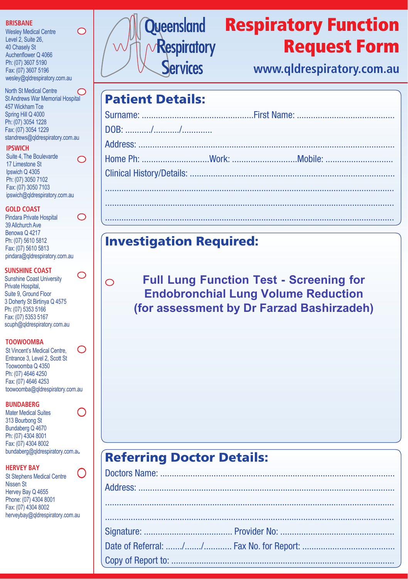#### **BRISBANE**

Wesley Medical Centre Level 2, Suite 26, 40 Chasely St Auchenflower Q 4066 Ph: (07) 3607 5190 Fax: (07) 3607 5196 wesley@qldrespiratory.com.au  $\bigcirc$ 

◯

O

O

 $\bigcirc$ 

North St Medical Centre St Andrews War Memorial Hospital 457WickhamTce Spring Hill Q 4000 Ph: (07) 3054 1228 Fax: (07) 3054 1229 standrews@qldrespiratory.com.au

#### **IPSWICH**

Suite 4,The Boulevarde 17 Limestone St Ipswich Q 4305 Ph: (07) 3050 7102 Fax: (07) 3050 7103 ipswich@qldrespiratory.com.au

#### **GOLD COAST**

Pindara Private Hospital 39 Allchurch Ave Benowa Q 4217 Ph: (07) 5610 5812 Fax: (07) 5610 5813 pindara@qldrespiratory.com.au

#### **SUNSHINE COAST**

Sunshine Coast University Private Hospital, Suite 9, Ground Floor 3 Doherty St Birtinya Q 4575 Ph: (07) 5353 5166 Fax: (07) 5353 5167 scuph@qldrespiratory.com.au

#### **TOOWOOMBA**

◯ St Vincent's Medical Centre, Entrance 3, Level 2, Scott St Toowoomba Q 4350 Ph: (07) 4646 4250 Fax: (07) 4646 4253 toowoomba@qldrespiratory.com.au

#### **BUNDABERG**

C Mater Medical Suites 313 Bourbong St Bundaberg Q 4670 Ph: (07) 4304 8001 Fax: (07) 4304 8002 bundaberg@qldrespiratory.com.au

#### **HERVEY BAY**

 $\bigcap$ St Stephens Medical Centre Nissen St Hervey Bay Q 4655 Phone: (07) 4304 8001 Fax: (07) 4304 8002 herveybay@qldrespiratory.com.au



## Respiratory Function Request Form

**www.qldrespiratory.com.au**

## **Patient Details:**

## **Investigation Required:**

**Full Lung Function Test - Screening for Endobronchial Lung Volume Reduction (for assessment by Dr Farzad Bashirzadeh)**

## **Referring Doctor Details:**